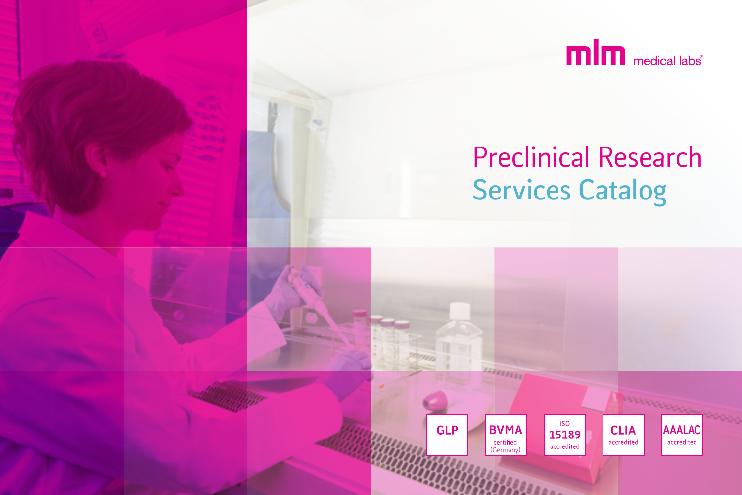

**AAALAC** 

**CLIA** 

accredited

# Preclinical Research **Services Catalog**

(Germany)

certified

**BVMA** 

**GLP** 

**ISO** 

15189

accredited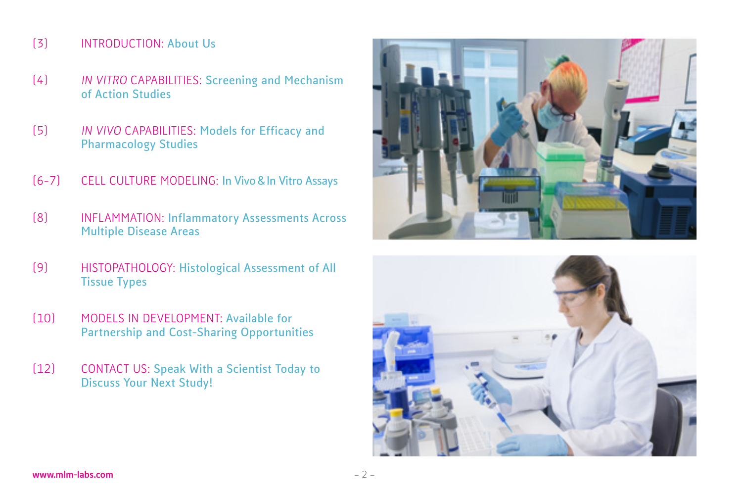#### [3] INTRODUCTION: **About Us**

- [4] IN VITRO CAPABILITIES: **Screening and Mechanism of Action Studies**
- [5] IN VIVO CAPABILITIES: **Models for Efficacy and Pharmacology Studies**
- [6-7] CELL CULTURE MODELING: **In Vivo & In Vitro Assays**
- [8] INFLAMMATION: **Inflammatory Assessments Across Multiple Disease Areas**
- [9] HISTOPATHOLOGY: **Histological Assessment of All Tissue Types**
- [10] MODELS IN DEVELOPMENT: **Available for Partnership and Cost-Sharing Opportunities**
- [12] CONTACT US: **Speak With a Scientist Today to Discuss Your Next Study!**



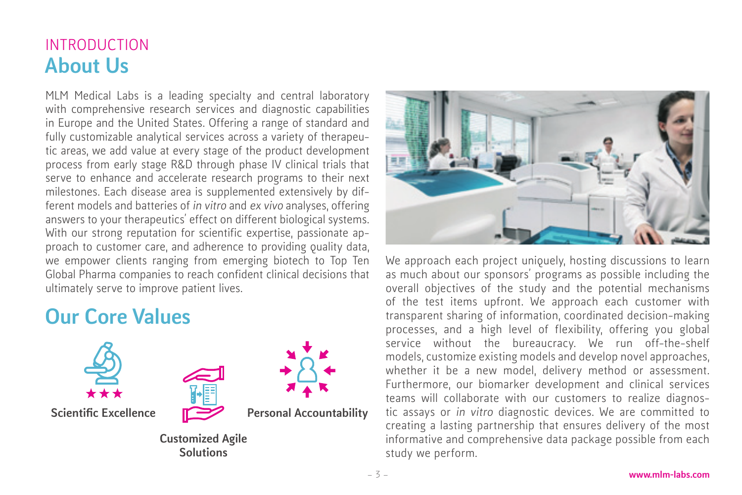# INTRODUCTION About Us

MLM Medical Labs is a leading specialty and central laboratory with comprehensive research services and diagnostic capabilities in Europe and the United States. Offering a range of standard and fully customizable analytical services across a variety of therapeutic areas, we add value at every stage of the product development process from early stage R&D through phase IV clinical trials that serve to enhance and accelerate research programs to their next milestones. Each disease area is supplemented extensively by different models and batteries of in vitro and ex vivo analyses, offering answers to your therapeutics' effect on different biological systems. With our strong reputation for scientific expertise, passionate approach to customer care, and adherence to providing quality data, we empower clients ranging from emerging biotech to Top Ten Global Pharma companies to reach confident clinical decisions that ultimately serve to improve patient lives.

# Our Core Values



**Solutions** 



We approach each project uniquely, hosting discussions to learn as much about our sponsors' programs as possible including the overall objectives of the study and the potential mechanisms of the test items upfront. We approach each customer with transparent sharing of information, coordinated decision-making processes, and a high level of flexibility, offering you global service without the bureaucracy. We run off-the-shelf models, customize existing models and develop novel approaches, whether it be a new model, delivery method or assessment. Furthermore, our biomarker development and clinical services teams will collaborate with our customers to realize diagnostic assays or in vitro diagnostic devices. We are committed to creating a lasting partnership that ensures delivery of the most informative and comprehensive data package possible from each study we perform.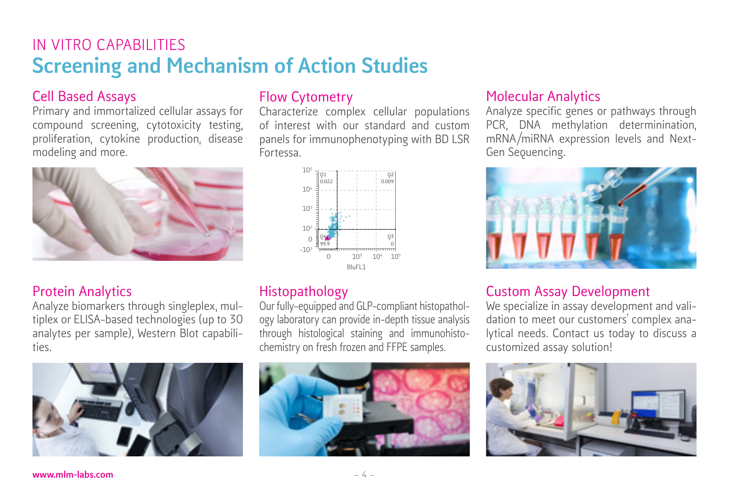# IN VITRO CAPABILITIES Screening and Mechanism of Action Studies

#### Cell Based Assays

Primary and immortalized cellular assays for compound screening, cytotoxicity testing, proliferation, cytokine production, disease modeling and more.



#### Protein Analytics

Analyze biomarkers through singleplex, multiplex or ELISA-based technologies (up to 30 analytes per sample), Western Blot capabilities.



#### Flow Cytometry

Characterize complex cellular populations of interest with our standard and custom panels for immunophenotyping with BD LSR Fortessa.



#### Histopathology

Our fully-equipped and GLP-compliant histopathology laboratory can provide in-depth tissue analysis through histological staining and immunohistochemistry on fresh frozen and FFPE samples.



#### Molecular Analytics

Analyze specific genes or pathways through PCR, DNA methylation determinination, mRNA/miRNA expression levels and Next-Gen Sequencing.



#### Custom Assay Development

We specialize in assay development and validation to meet our customers' complex analytical needs. Contact us today to discuss a customized assay solution!

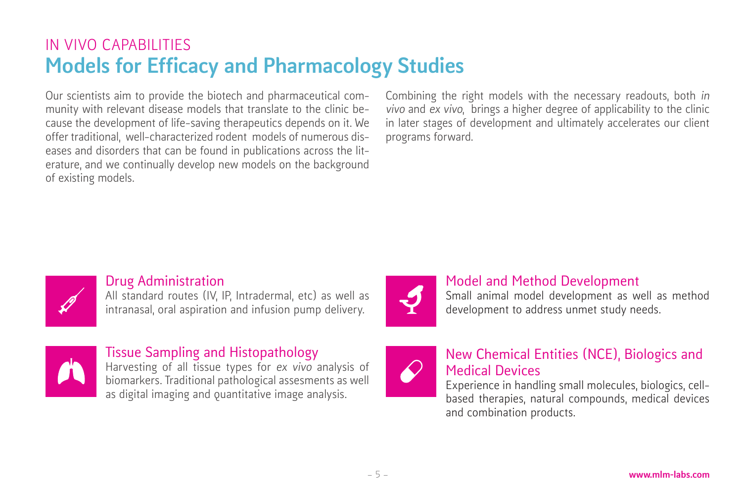# IN VIVO CAPABILITIES Models for Efficacy and Pharmacology Studies

Our scientists aim to provide the biotech and pharmaceutical community with relevant disease models that translate to the clinic because the development of life-saving therapeutics depends on it. We offer traditional, well-characterized rodent models of numerous diseases and disorders that can be found in publications across the literature, and we continually develop new models on the background of existing models.

Combining the right models with the necessary readouts, both in vivo and ex vivo, brings a higher degree of applicability to the clinic in later stages of development and ultimately accelerates our client programs forward.



#### Drug Administration

All standard routes (IV, IP, Intradermal, etc) as well as intranasal, oral aspiration and infusion pump delivery.



#### Tissue Sampling and Histopathology

Harvesting of all tissue types for ex vivo analysis of biomarkers. Traditional pathological assesments as well as digital imaging and quantitative image analysis.



#### Model and Method Development

Small animal model development as well as method development to address unmet study needs.



#### New Chemical Entities (NCE), Biologics and Medical Devices

Experience in handling small molecules, biologics, cellbased therapies, natural compounds, medical devices and combination products.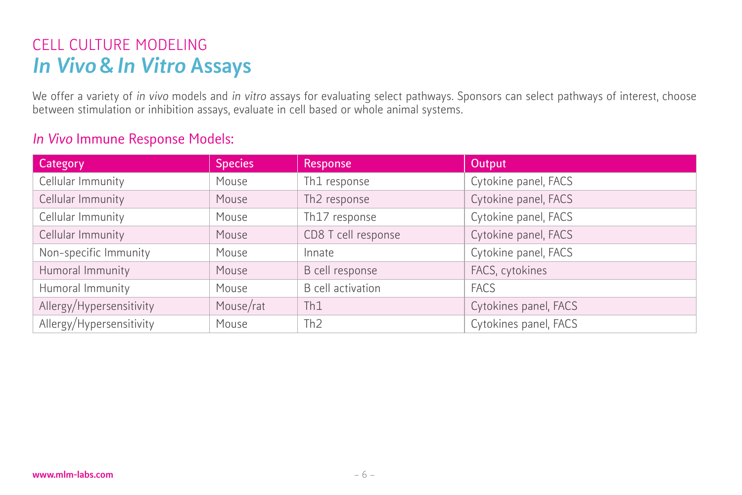# CELL CULTURE MODELING In Vivo & In Vitro Assays

We offer a variety of in vivo models and in vitro assays for evaluating select pathways. Sponsors can select pathways of interest, choose between stimulation or inhibition assays, evaluate in cell based or whole animal systems.

#### In Vivo Immune Response Models:

| Category                 | <b>Species</b> | Response                 | <b>Output</b>         |
|--------------------------|----------------|--------------------------|-----------------------|
| Cellular Immunity        | Mouse          | Th1 response             | Cytokine panel, FACS  |
| Cellular Immunity        | Mouse          | Th <sub>2</sub> response | Cytokine panel, FACS  |
| Cellular Immunity        | Mouse          | Th17 response            | Cytokine panel, FACS  |
| Cellular Immunity        | Mouse          | CD8 T cell response      | Cytokine panel, FACS  |
| Non-specific Immunity    | Mouse          | Innate                   | Cytokine panel, FACS  |
| Humoral Immunity         | Mouse          | B cell response          | FACS, cytokines       |
| Humoral Immunity         | Mouse          | <b>B</b> cell activation | <b>FACS</b>           |
| Allergy/Hypersensitivity | Mouse/rat      | Th1                      | Cytokines panel, FACS |
| Allergy/Hypersensitivity | Mouse          | Th <sub>2</sub>          | Cytokines panel, FACS |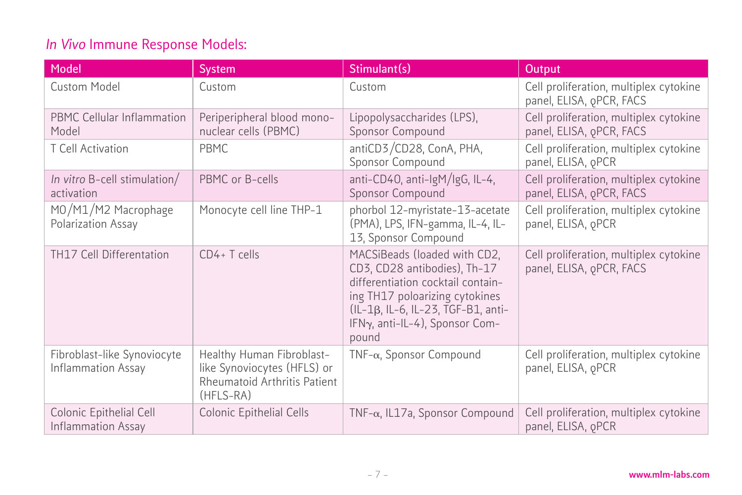### In Vivo Immune Response Models:

| Model                                             | <b>System</b>                                                                                         | Stimulant(s)                                                                                                                                                                                                         | Output                                                                         |
|---------------------------------------------------|-------------------------------------------------------------------------------------------------------|----------------------------------------------------------------------------------------------------------------------------------------------------------------------------------------------------------------------|--------------------------------------------------------------------------------|
| <b>Custom Model</b>                               | Custom                                                                                                | Custom                                                                                                                                                                                                               | Cell proliferation, multiplex cytokine<br>panel, ELISA, <sub>Q</sub> PCR, FACS |
| <b>PBMC Cellular Inflammation</b><br>Model        | Periperipheral blood mono-<br>nuclear cells (PBMC)                                                    | Lipopolysaccharides (LPS),<br>Sponsor Compound                                                                                                                                                                       | Cell proliferation, multiplex cytokine<br>panel, ELISA, <sub>Q</sub> PCR, FACS |
| T Cell Activation                                 | <b>PBMC</b>                                                                                           | antiCD3/CD28, ConA, PHA,<br>Sponsor Compound                                                                                                                                                                         | Cell proliferation, multiplex cytokine<br>panel, ELISA, <sub>Q</sub> PCR       |
| In vitro B-cell stimulation/<br>activation        | PBMC or B-cells                                                                                       | anti-CD40, anti-lgM/lgG, IL-4,<br>Sponsor Compound                                                                                                                                                                   | Cell proliferation, multiplex cytokine<br>panel, ELISA, <sub>Q</sub> PCR, FACS |
| MO/M1/M2 Macrophage<br>Polarization Assay         | Monocyte cell line THP-1                                                                              | phorbol 12-myristate-13-acetate<br>(PMA), LPS, IFN-gamma, IL-4, IL-<br>13, Sponsor Compound                                                                                                                          | Cell proliferation, multiplex cytokine<br>panel, ELISA, <sub>Q</sub> PCR       |
| TH17 Cell Differentation                          | CD4+T cells                                                                                           | MACSiBeads (loaded with CD2,<br>CD3, CD28 antibodies), Th-17<br>differentiation cocktail contain-<br>ing TH17 poloarizing cytokines<br>(IL-1β, IL-6, IL-23, TGF-B1, anti-<br>IFNy, anti-IL-4), Sponsor Com-<br>pound | Cell proliferation, multiplex cytokine<br>panel, ELISA, <sub>Q</sub> PCR, FACS |
| Fibroblast-like Synoviocyte<br>Inflammation Assay | Healthy Human Fibroblast-<br>like Synoviocytes (HFLS) or<br>Rheumatoid Arthritis Patient<br>(HFLS-RA) | TNF- $\alpha$ , Sponsor Compound                                                                                                                                                                                     | Cell proliferation, multiplex cytokine<br>panel, ELISA, <sub>Q</sub> PCR       |
| Colonic Epithelial Cell<br>Inflammation Assay     | Colonic Epithelial Cells                                                                              | TNF- $\alpha$ , IL17a, Sponsor Compound                                                                                                                                                                              | Cell proliferation, multiplex cytokine<br>panel, ELISA, <sub>Q</sub> PCR       |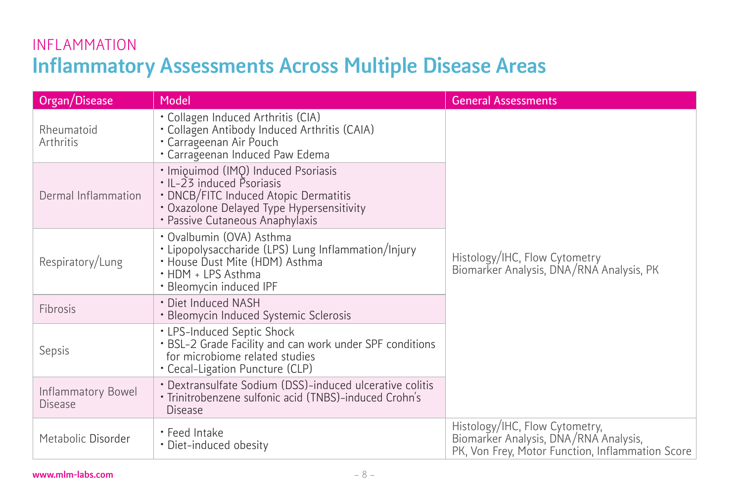# INFLAMMATION Inflammatory Assessments Across Multiple Disease Areas

| Organ/Disease                        | Model                                                                                                                                                                                     | <b>General Assessments</b>                                                                                                  |
|--------------------------------------|-------------------------------------------------------------------------------------------------------------------------------------------------------------------------------------------|-----------------------------------------------------------------------------------------------------------------------------|
| Rheumatoid<br>Arthritis              | • Collagen Induced Arthritis (CIA)<br>· Collagen Antibody Induced Arthritis (CAIA)<br>• Carrageenan Air Pouch<br>· Carrageenan Induced Paw Edema                                          | Histology/IHC, Flow Cytometry<br>Biomarker Analysis, DNA/RNA Analysis, PK                                                   |
| Dermal Inflammation                  | · Imiouimod (IMQ) Induced Psoriasis<br>• IL-23 induced Psoriasis<br>• DNCB/FITC Induced Atopic Dermatitis<br>• Oxazolone Delayed Type Hypersensitivity<br>• Passive Cutaneous Anaphylaxis |                                                                                                                             |
| Respiratory/Lung                     | · Ovalbumin (OVA) Asthma<br>. Lipopolysaccharide (LPS) Lung Inflammation/Injury<br>· House Dust Mite (HDM) Asthma<br>• HDM + LPS Asthma<br>• Bleomycin induced IPF                        |                                                                                                                             |
| Fibrosis                             | · Diet Induced NASH<br>· Bleomycin Induced Systemic Sclerosis                                                                                                                             |                                                                                                                             |
| Sepsis                               | • LPS-Induced Septic Shock<br>. BSL-2 Grade Facility and can work under SPF conditions<br>for microbiome related studies<br>• Cecal-Ligation Puncture (CLP)                               |                                                                                                                             |
| Inflammatory Bowel<br><b>Disease</b> | · Dextransulfate Sodium (DSS)-induced ulcerative colitis<br>· Trinitrobenzene sulfonic acid (TNBS)-induced Crohn's<br>Disease                                                             |                                                                                                                             |
| Metabolic Disorder                   | • Feed Intake<br>• Diet-induced obesity                                                                                                                                                   | Histology/IHC, Flow Cytometry,<br>Biomarker Analysis, DNA/RNA Analysis,<br>PK, Von Frey, Motor Function, Inflammation Score |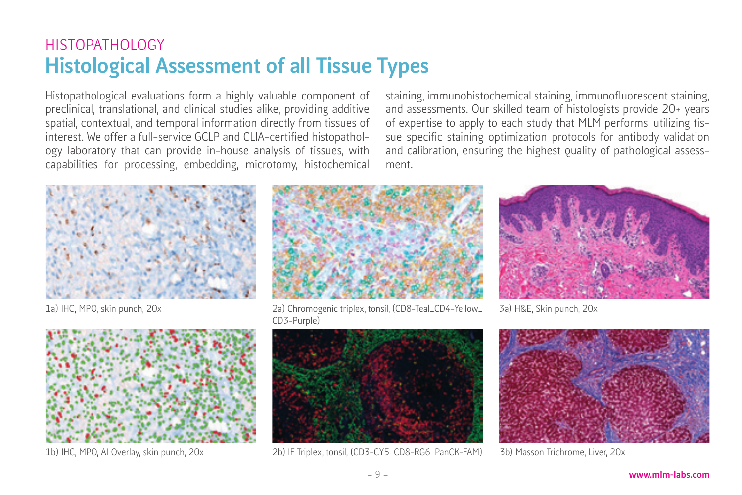# HISTOPATHOLOGY Histological Assessment of all Tissue Types

Histopathological evaluations form a highly valuable component of preclinical, translational, and clinical studies alike, providing additive spatial, contextual, and temporal information directly from tissues of interest. We offer a full-service GCLP and CLIA-certified histopathology laboratory that can provide in-house analysis of tissues, with capabilities for processing, embedding, microtomy, histochemical

1a) IHC, MPO, skin punch, 20x



1b) IHC, MPO, AI Overlay, skin punch, 20x



ment.

2a) Chromogenic triplex, tonsil, (CD8-Teal\_CD4-Yellow\_ CD3-Purple)



2b) IF Triplex, tonsil, (CD3-CY5\_CD8-RG6\_PanCK-FAM)

3a) H&E, Skin punch, 20x

staining, immunohistochemical staining, immunofluorescent staining, and assessments. Our skilled team of histologists provide 20+ years of expertise to apply to each study that MLM performs, utilizing tissue specific staining optimization protocols for antibody validation and calibration, ensuring the highest quality of pathological assess-



3b) Masson Trichrome, Liver, 20x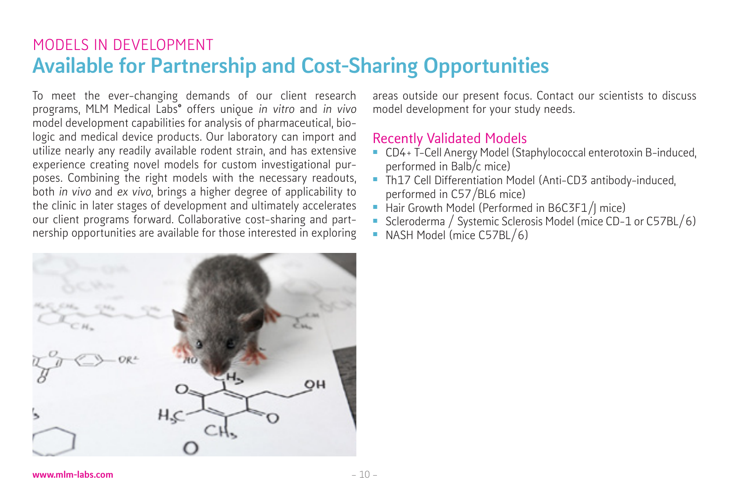## MODELS IN DEVELOPMENT Available for Partnership and Cost-Sharing Opportunities

To meet the ever-changing demands of our client research programs, MLM Medical Labs<sup>®</sup> offers unique in vitro and in vivo model development capabilities for analysis of pharmaceutical, biologic and medical device products. Our laboratory can import and utilize nearly any readily available rodent strain, and has extensive experience creating novel models for custom investigational purposes. Combining the right models with the necessary readouts, both in vivo and ex vivo, brings a higher degree of applicability to the clinic in later stages of development and ultimately accelerates our client programs forward. Collaborative cost-sharing and partnership opportunities are available for those interested in exploring



areas outside our present focus. Contact our scientists to discuss model development for your study needs.

#### Recently Validated Models

- CD4+ T-Cell Anergy Model (Staphylococcal enterotoxin B-induced, performed in Balb/c mice)
- Th17 Cell Differentiation Model (Anti-CD3 antibody-induced, performed in C57/BL6 mice)
- Hair Growth Model (Performed in B6C3F1/J mice)
- Scleroderma / Systemic Sclerosis Model (mice CD-1 or C57BL/6)
- NASH Model (mice C57BL/6)